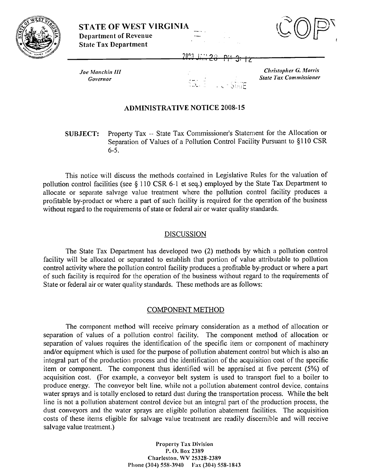



2093

 $Joe$  Manchin III

Christopher G. Morris **Governor Governor State** *Tax Commissioner State <b><i>State Tax Commissioner* 

## ADMINISTRATIVE NOTICE 2008-15

**SUBJECT:** Property Tax -- State Tax Commissioner's Statement for the Allocation or Separation of Values of a Pollution Control Facility Pursuant to \$1 10 CSR 6-5.

This notice will discuss the methods contained in Legislative Rules for the valuation of pollution control facilities (see § 110 CSR 6-1 et seq.) employed by the State Tax Department to allocate or separate salvage value treatment where the pollution control facility produces a profitable by-product or where a part of such facility is required for the operation of the business without regard to the requirements of state or federal air or water quality standards.

## DISCUSSION

The State Tau Department has developed two (2) methods by which a pollution control facility will be allocated or scparated to establish that portion of value attributable to pollution control activity where the pollution control facility produces a profitable by-product or where a part of such facility is required for the operation of the business without regard to the requirements of State or federal air or water quality standards. These methods are as follows:

## COMPONENT METHOD

The component method will receive primary consideration as a method of allocation or separation of values of a pollution control facility. The component method of allocation or separation of values requires the identification of the specific item or component of machinery and/or equipment which is used for the purpose of pollution abatement control but which is also an integral part of the production process and the identification of the acquisition cost of the specific item or component. The component thus identified will be appraised at five percent (5%) of acquisition cost. (For example, a conveyor belt system is used to transport fuel to a boiler to produce energy. The conveyor belt line, while not a pollution abatement control device, contains water sprays and is totally enclosed to retard dust during the transportation process. While the belt line is not a pollution abatement control device but an integral part of the production process, the dust conveyors and the water sprays are eligible pollution abatement facilities. The acquisition costs of these items eligible for salvage value treatment are readily discernible and will reccive salvage value treatment.)

> **Property Tax 1)ivision P. 0. Bos 2389 Charleston,** \W **25328-2389 Phone (304) 558-3940 Fax (304) 558-1843**